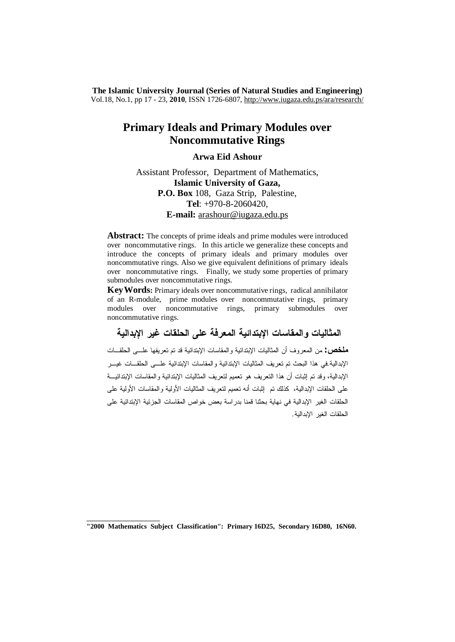**The Islamic University Journal (Series of Natural Studies and Engineering)**  Vol.18, No.1, pp 17 - 23, **2010**, ISSN 1726-6807,<http://www.iugaza.edu.ps/ara/research/>

# **Primary Ideals and Primary Modules over Noncommutative Rings**

### **Arwa Eid Ashour**

## Assistant Professor, Department of Mathematics, **Islamic University of Gaza, P.O. Box** 108, Gaza Strip, Palestine, **Tel**: +970-8-2060420, **E-mail:** [arashour@iugaza.edu.ps](mailto:arashour@iugaza.edu.ps)

**Abstract:** The concepts of prime ideals and prime modules were introduced over noncommutative rings. In this article we generalize these concepts and introduce the concepts of primary ideals and primary modules over noncommutative rings. Also we give equivalent definitions of primary ideals over noncommutative rings. Finally, we study some properties of primary submodules over noncommutative rings.

**KeyWords:** Primary ideals over noncommutative rings, radical annihilator of an R-module, prime modules over noncommutative rings, primary modules over noncommutative rings, primary submodules over noncommutative rings.

## **المثاليات والمقاسات الإبتدائية المعرفة على الحلقات غير الإبدالية**

**ملخص:** من المعروف أن المثاليات الإبتدائية والمقاسات الإبتدائية قد تم تعريفها علـى الحلقـات الإبدالية.في هذا البحث تم تعريف المثاليات الإبتدائية والمقاسات الإبتدائية علـى الحلقـات غيـر الإبدالية، وقد تم إثبات أن هذا التعريف هو تعميم لتعريف المثاليات الإبتدائية والمقاسات الإبتدائيـة على الحلقات الإبدالية، كذلك تم إثبات أنه تعميم لتعريف المثاليات الأولية والمقاسات الأولية على الحلقات الغير الإبدالية في نهاية بحثنا قمنا بدراسة بعض خواص المقاسات الجزئية الإبتدائية على الحلقات الغير الإبدالية.

\_\_\_\_\_\_\_\_\_\_\_\_\_\_\_\_

**<sup>&</sup>quot;2000 Mathematics Subject Classification": Primary 16D25, Secondary 16D80, 16N60.**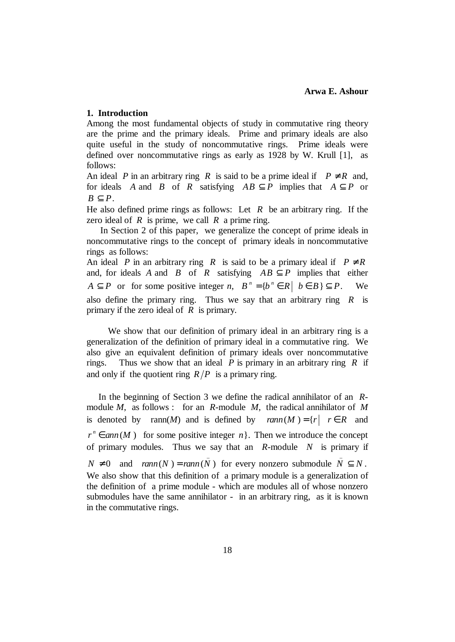#### **1. Introduction**

Among the most fundamental objects of study in commutative ring theory are the prime and the primary ideals. Prime and primary ideals are also quite useful in the study of noncommutative rings. Prime ideals were defined over noncommutative rings as early as 1928 by W. Krull [1], as follows:

An ideal *P* in an arbitrary ring *R* is said to be a prime ideal if  $P \neq R$  and, for ideals *A* and *B* of *R* satisfying  $AB \subset P$  implies that  $A \subset P$  or  $B \subset P$ .

He also defined prime rings as follows: Let  $R$  be an arbitrary ring. If the zero ideal of *R* is prime, we call *R* a prime ring.

In Section 2 of this paper, we generalize the concept of prime ideals in noncommutative rings to the concept of primary ideals in noncommutative rings as follows:

An ideal *P* in an arbitrary ring *R* is said to be a primary ideal if  $P \neq R$ and, for ideals *A* and *B* of *R* satisfying  $AB \subseteq P$  implies that either  $A \subseteq P$  or for some positive integer *n*,  $B^n = \{b^n \in R \mid b \in B\} \subseteq P$ . We also define the primary ring. Thus we say that an arbitrary ring *R* is primary if the zero ideal of *R* is primary.

 We show that our definition of primary ideal in an arbitrary ring is a generalization of the definition of primary ideal in a commutative ring. We also give an equivalent definition of primary ideals over noncommutative rings. Thus we show that an ideal  $P$  is primary in an arbitrary ring  $R$  if and only if the quotient ring  $R/P$  is a primary ring.

 In the beginning of Section 3 we define the radical annihilator of an *R*module *M*, as follows : for an *R*-module *M*, the radical annihilator of *M*  is denoted by rann(*M*) and is defined by  $rann(M) = \{r \mid r \in R$  and  $r^n \in ann(M)$  for some positive integer *n* }. Then we introduce the concept of primary modules. Thus we say that an *R*-module *N* is primary if  $N \neq 0$  and  $rann(N) = rann(\overline{N})$  for every nonzero submodule  $\overline{N} \subseteq N$ . We also show that this definition of a primary module is a generalization of the definition of a prime module - which are modules all of whose nonzero submodules have the same annihilator - in an arbitrary ring, as it is known in the commutative rings.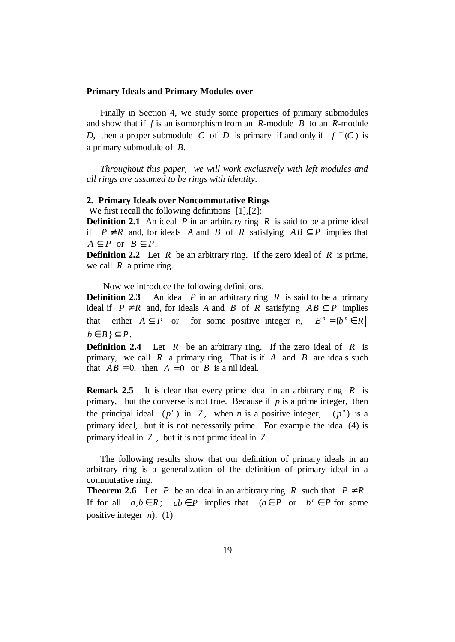#### **Primary Ideals and Primary Modules over**

Finally in Section 4, we study some properties of primary submodules and show that if *f* is an isomorphism from an *R-*module *B* to an *R*-module *D*, then a proper submodule *C* of *D* is primary if and only if  $f^{-1}(C)$  is a primary submodule of *B*.

*Throughout this paper, we will work exclusively with left modules and all rings are assumed to be rings with identity*.

## **2. Primary Ideals over Noncommutative Rings**

We first recall the following definitions [1],[2]:

**Definition 2.1** An ideal *P* in an arbitrary ring *R* is said to be a prime ideal if  $P \neq R$  and, for ideals *A* and *B* of *R* satisfying  $AB \subseteq P$  implies that  $A \subset P$  or  $B \subset P$ .

**Definition 2.2** Let *R* be an arbitrary ring. If the zero ideal of *R* is prime, we call *R* a prime ring.

Now we introduce the following definitions.

**Definition 2.3** An ideal *P* in an arbitrary ring *R* is said to be a primary ideal if  $P \neq R$  and, for ideals *A* and *B* of *R* satisfying  $AB \subseteq P$  implies that either  $A \subseteq P$  or for some positive integer *n*,  $B^n = \{b^n \in R\}$  $b \in B$  }  $\subset P$ .

**Definition 2.4** Let *R* be an arbitrary ring. If the zero ideal of *R* is primary, we call *R* a primary ring. That is if *A* and *B* are ideals such that  $AB = 0$ , then  $A = 0$  or *B* is a nil ideal.

**Remark 2.5** It is clear that every prime ideal in an arbitrary ring*R* is primary, but the converse is not true. Because if  $p$  is a prime integer, then the principal ideal  $(p^n)$  in *Z*, when *n* is a positive integer,  $(p^n)$  is a primary ideal, but it is not necessarily prime. For example the ideal (4) is primary ideal in *Z* , but it is not prime ideal in *Z*.

The following results show that our definition of primary ideals in an arbitrary ring is a generalization of the definition of primary ideal in a commutative ring.

**Theorem 2.6** Let *P* be an ideal in an arbitrary ring *R* such that  $P \neq R$ . If for all  $a, b \in R$ ;  $ab \in P$  implies that  $(a \in P \text{ or } b^n \in P$  for some positive integer *n*), (1)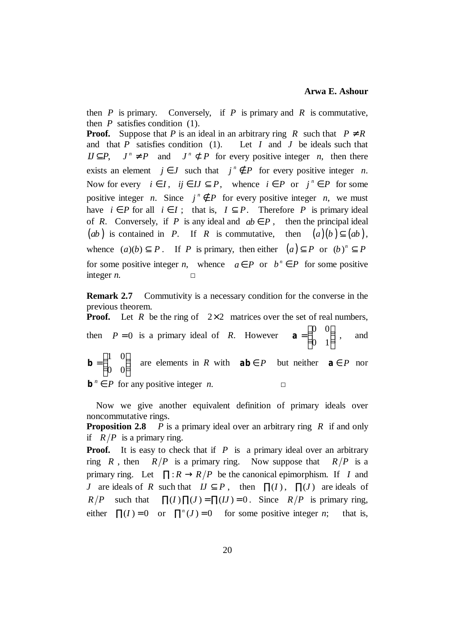then *P* is primary. Conversely, if *P* is primary and *R* is commutative, then  $P$  satisfies condition  $(1)$ .

**Proof.** Suppose that *P* is an ideal in an arbitrary ring *R* such that  $P \neq R$ and that  $P$  satisfies condition (1). Let  $I$  and  $J$  be ideals such that *IJ* ⊂ *P*.  $J^n \neq P$  and  $J^n \subset P$  for every positive integer *n*, then there exists an element  $j \in J$  such that  $j^n \notin P$  for every positive integer *n*. Now for every  $i \in I$ ,  $ij \in H \subseteq P$ , whence  $i \in P$  or  $j^n \in P$  for some positive integer *n*. Since  $j^n \notin P$  for every positive integer *n*, we must have  $i \in P$  for all  $i \in I$ ; that is,  $I \subset P$ . Therefore P is primary ideal of *R*. Conversely, if *P* is any ideal and  $ab \in P$ , then the principal ideal (*ab*) is contained in *P*. If *R* is commutative, then  $(a)(b) \subseteq (ab)$ , whence  $(a)(b) \subseteq P$ . If *P* is primary, then either  $(a) \subseteq P$  or  $(b)^n \subseteq P$ for some positive integer *n*, whence  $a \in P$  or  $b^n \in P$  for some positive integer *n*.  $\square$ 

**Remark 2.7** Commutivity is a necessary condition for the converse in the previous theorem.

**Proof.** Let *R* be the ring of  $2 \times 2$  matrices over the set of real numbers,

then  $P = 0$  is a primary ideal of *R*. However  $\bigg)$  $\left( \frac{1}{2} \right)$  $\mathsf{I}$ l ſ = 0 1 0 0  $a = \begin{bmatrix} 0 & 0 \\ 0 & 1 \end{bmatrix}$ , and  $\overline{1}$  $\lambda$  $\overline{\phantom{a}}$ l ſ = 0 0 1 0  $b = \begin{bmatrix} 1 & 0 \\ 0 & 0 \end{bmatrix}$  are elements in *R* with  $ab \in P$  but neither  $a \in P$  nor  $b^n \in P$  for any positive integer *n*. □

Now we give another equivalent definition of primary ideals over noncommutative rings.

**Proposition 2.8** *P* is a primary ideal over an arbitrary ring *R* if and only if  $R/P$  is a primary ring.

**Proof.** It is easy to check that if *P* is a primary ideal over an arbitrary ring *R*, then  $R/P$  is a primary ring. Now suppose that  $R/P$  is a primary ring. Let  $\Pi: R \to R/P$  be the canonical epimorphism. If *I* and *J* are ideals of *R* such that  $IJ \subseteq P$ , then  $\Pi(I)$ ,  $\Pi(J)$  are ideals of  $R/P$  such that  $\prod(I)\prod(J) = \prod(IJ) = 0$ . Since  $R/P$  is primary ring, either  $\Pi(I) = 0$  or  $\Pi^n(I) = 0$  for some positive integer *n*; that is,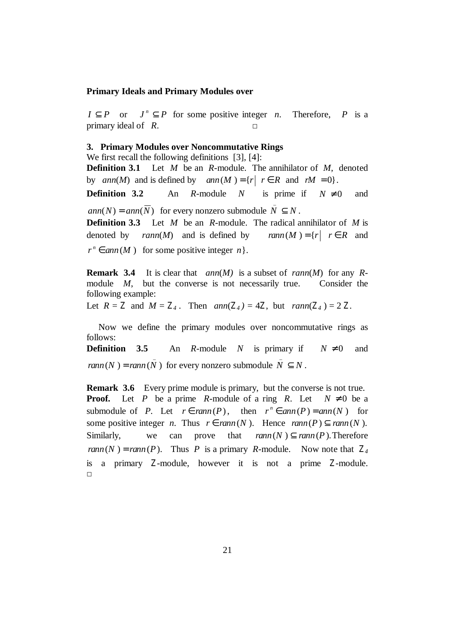#### **Primary Ideals and Primary Modules over**

 $I \subseteq P$  or  $J^n \subseteq P$  for some positive integer *n*. Therefore, *P* is a primary ideal of *R*. □

## **3. Primary Modules over Noncommutative Rings**

We first recall the following definitions [3], [4]: **Definition 3.1** Let *M* be an *R*-module. The annihilator of *M*, denoted by *ann*(*M*) and is defined by *ann*(*M*) =  $\{r \mid r \in R \text{ and } rM = 0\}$ .

**Definition** 3.2 An *R*-module *N* is prime if  $N \neq 0$  and  $ann(N) = ann(N)$  for every nonzero submodule  $N \subseteq N$ . \_

**Definition 3.3** Let *M* be an *R*-module. The radical annihilator of *M* is denoted by *rann*(*M*) and is defined by *rann*(*M*) =  $\{r \mid r \in R$  and  $r^n \in ann(M)$  for some positive integer *n* }.

**Remark 3.4** It is clear that *ann*(*M)* is a subset of *rann*(*M*) for any *R*module *M*, but the converse is not necessarily true. Consider the following example:

Let  $R = Z$  and  $M = Z_4$ . Then  $ann(Z_4) = 4Z$ , but  $rann(Z_4) = 2Z$ .

 Now we define the primary modules over noncommutative rings as follows:

**Definition** 3.5 An *R*-module *N* is primary if  $N \neq 0$  and \_  $rann(N) = rann(N)$  for every nonzero submodule  $N \subseteq N$ . \_

**Remark 3.6** Every prime module is primary, but the converse is not true. **Proof.** Let *P* be a prime *R*-module of a ring *R*. Let  $N \neq 0$  be a submodule of *P*. Let  $r \in \text{rann}(P)$ , then  $r^n \in \text{ann}(P) = \text{ann}(N)$  for some positive integer *n*. Thus  $r \in \text{rann}(N)$ . Hence  $\text{rann}(P) \subseteq \text{rann}(N)$ . Similarly, we can prove that  $rann(N) \subseteq rann(P)$ . Therefore *rann*(*N*) = *rann*(*P*). Thus *P* is a primary *R*-module. Now note that  $Z_4$ is a primary *Z*-module, however it is not a prime *Z*-module.  $\Box$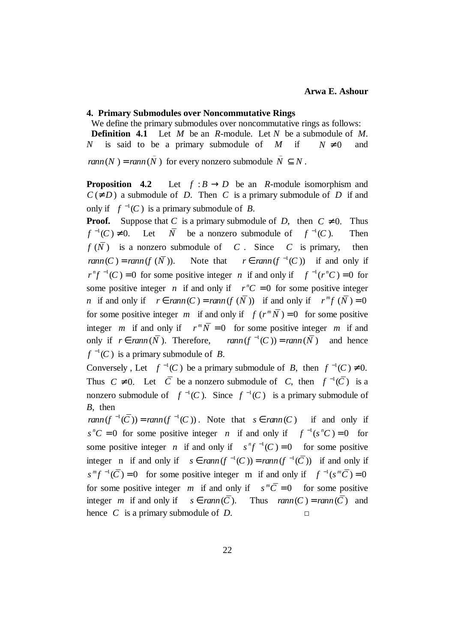## **4. Primary Submodules over Noncommutative Rings**

We define the primary submodules over noncommutative rings as follows:

 **Definition 4.1** Let *M* be an *R*-module. Let *N* be a submodule of *M*. *N* is said to be a primary submodule of *M* if  $N \neq 0$  and  $rann(N) = rann(\overline{N})$  for every nonzero submodule  $\overline{N} \subseteq N$ .

**Proposition 4.2** Let  $f : B \to D$  be an *R*-module isomorphism and  $C \neq D$  a submodule of *D*. Then *C* is a primary submodule of *D* if and only if  $f^{-1}(C)$  is a primary submodule of *B*.

**Proof.** Suppose that *C* is a primary submodule of *D*, then  $C \neq 0$ . Thus  $f^{-1}(C) \neq 0$ . Let  $\overline{N}$  be a nonzero submodule of  $f^{-1}(C)$ . Then  $f(\overline{N})$  is a nonzero submodule of *C*. Since *C* is primary, then  $rann(C) = rann(F(\overline{N})).$  $r \in \text{rann}(f^{-1}(C))$  if and only if  $r^{n} f^{-1}(C) = 0$  for some positive integer *n* if and only if  $f^{-1}(r^{n}C) = 0$  for some positive integer *n* if and only if  $r^nC = 0$  for some positive integer *n* if and only if  $r \in \text{rann}(C) = \text{rann}(f(\bar{N}))$  if and only if  $r^m f(\bar{N}) = 0$ for some positive integer *m* if and only if  $f(r^m \overline{N}) = 0$  for some positive integer *m* if and only if  $r^m \overline{N} = 0$  for some positive integer *m* if and only if *r* ∈ *rann*( $\overline{N}$ ). Therefore, *rann*( $f^{-1}(C)$ ) = *rann*( $\overline{N}$ ) and hence  $f^{-1}(C)$  is a primary submodule of *B*.

Conversely, Let  $f^{-1}(C)$  be a primary submodule of *B*, then  $f^{-1}(C) \neq 0$ . Thus  $C \neq 0$ . Let  $\overline{C}$  be a nonzero submodule of *C*, then  $f^{-1}(\overline{C})$  is a nonzero submodule of  $f^{-1}(C)$ . Since  $f^{-1}(C)$  is a primary submodule of *B*, then

 $rann(f^{-1}(\overline{C})) = rann(f^{-1}(C))$ . Note that  $s \in rann(C)$  if and only if  $s<sup>n</sup>C = 0$  for some positive integer *n* if and only if  $f<sup>-1</sup>(s<sup>n</sup>C) = 0$  for some positive integer *n* if and only if  $s^n f^{-1}(C) = 0$  for some positive integer n if and only if  $s \in \text{rann}(f^{-1}(C)) = \text{rann}(f^{-1}(\overline{C}))$  if and only if  $s^{m} f^{-1}(\overline{C}) = 0$  for some positive integer m if and only if  $f^{-1}(s^{m} \overline{C}) = 0$ for some positive integer *m* if and only if  $s^m\overline{C} = 0$  for some positive integer *m* if and only if  $s \in \text{rann}(\overline{C})$ . Thus  $\text{rann}(C) = \text{rann}(\overline{C})$  and hence  $C$  is a primary submodule of  $D$ .